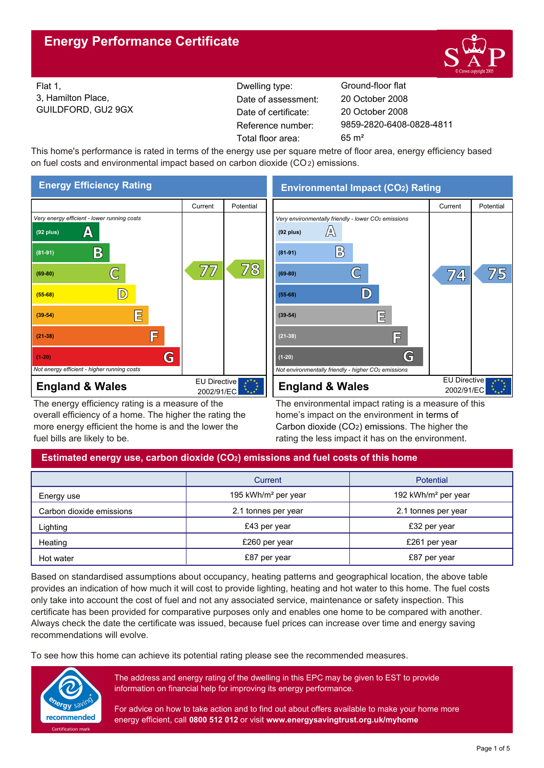

Flat 1, 3, Hamilton Place, GUILDFORD, GU2 9GX Reference number: Dwelling type: Ground-floor flat Date of certificate: Total floor area: 65 m² Date of assessment:

9859-2820-6408-0828-4811 20 October 2008 20 October 2008

This home's performance is rated in terms of the energy use per square metre of floor area, energy efficiency based on fuel costs and environmental impact based on carbon dioxide (CO2) emissions.



The energy efficiency rating is a measure of the overall efficiency of a home. The higher the rating the more energy efficient the home is and the lower the fuel bills are likely to be.

**Environmental Impact (CO2) Rating**



The environmental impact rating is a measure of this home's impact on the environment in terms of Carbon dioxide (CO2) emissions. The higher the rating the less impact it has on the environment.

# **Estimated energy use, carbon dioxide (CO2) emissions and fuel costs of this home**

|                          | Current                         | <b>Potential</b>                |
|--------------------------|---------------------------------|---------------------------------|
| Energy use               | 195 kWh/m <sup>2</sup> per year | 192 kWh/m <sup>2</sup> per year |
| Carbon dioxide emissions | 2.1 tonnes per year             | 2.1 tonnes per year             |
| Lighting                 | £43 per year                    | £32 per year                    |
| Heating                  | £260 per year                   | £261 per year                   |
| Hot water                | £87 per year                    | £87 per year                    |

Based on standardised assumptions about occupancy, heating patterns and geographical location, the above table provides an indication of how much it will cost to provide lighting, heating and hot water to this home. The fuel costs only take into account the cost of fuel and not any associated service, maintenance or safety inspection. This certificate has been provided for comparative purposes only and enables one home to be compared with another. Always check the date the certificate was issued, because fuel prices can increase over time and energy saving recommendations will evolve.

To see how this home can achieve its potential rating please see the recommended measures.



The address and energy rating of the dwelling in this EPC may be given to EST to provide information on financial help for improving its energy performance.

For advice on how to take action and to find out about offers available to make your home more energy efficient, call **0800 512 012** or visit **www.energysavingtrust.org.uk/myhome**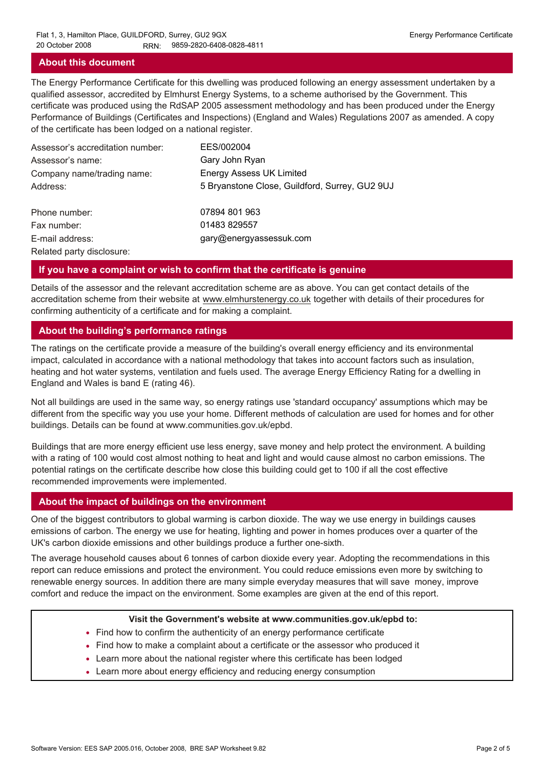## **About this document**

The Energy Performance Certificate for this dwelling was produced following an energy assessment undertaken by a qualified assessor, accredited by Elmhurst Energy Systems, to a scheme authorised by the Government. This certificate was produced using the RdSAP 2005 assessment methodology and has been produced under the Energy Performance of Buildings (Certificates and Inspections) (England and Wales) Regulations 2007 as amended. A copy of the certificate has been lodged on a national register.

| Assessor's accreditation number: | EES/002004                                     |
|----------------------------------|------------------------------------------------|
| Assessor's name:                 | Gary John Ryan                                 |
| Company name/trading name:       | <b>Energy Assess UK Limited</b>                |
| Address:                         | 5 Bryanstone Close, Guildford, Surrey, GU2 9UJ |
| Phone number:                    | 07894 801 963                                  |
| Fax number:                      | 01483 829557                                   |
| E-mail address:                  | gary@energyassessuk.com                        |
| Related party disclosure:        |                                                |

#### **If you have a complaint or wish to confirm that the certificate is genuine**

Details of the assessor and the relevant accreditation scheme are as above. You can get contact details of the accreditation scheme from their website at www.elmhurstenergy.co.uk together with details of their procedures for confirming authenticity of a certificate and for making a complaint.

#### **About the building's performance ratings**

The ratings on the certificate provide a measure of the building's overall energy efficiency and its environmental impact, calculated in accordance with a national methodology that takes into account factors such as insulation, heating and hot water systems, ventilation and fuels used. The average Energy Efficiency Rating for a dwelling in England and Wales is band E (rating 46).

Not all buildings are used in the same way, so energy ratings use 'standard occupancy' assumptions which may be different from the specific way you use your home. Different methods of calculation are used for homes and for other buildings. Details can be found at www.communities.gov.uk/epbd.

Buildings that are more energy efficient use less energy, save money and help protect the environment. A building with a rating of 100 would cost almost nothing to heat and light and would cause almost no carbon emissions. The potential ratings on the certificate describe how close this building could get to 100 if all the cost effective recommended improvements were implemented.

#### **About the impact of buildings on the environment**

One of the biggest contributors to global warming is carbon dioxide. The way we use energy in buildings causes emissions of carbon. The energy we use for heating, lighting and power in homes produces over a quarter of the UK's carbon dioxide emissions and other buildings produce a further one-sixth.

The average household causes about 6 tonnes of carbon dioxide every year. Adopting the recommendations in this report can reduce emissions and protect the environment. You could reduce emissions even more by switching to renewable energy sources. In addition there are many simple everyday measures that will save money, improve comfort and reduce the impact on the environment. Some examples are given at the end of this report.

#### **Visit the Government's website at www.communities.gov.uk/epbd to:**

- Find how to confirm the authenticity of an energy performance certificate
- Find how to make a complaint about a certificate or the assessor who produced it •
- Learn more about the national register where this certificate has been lodged •
- Learn more about energy efficiency and reducing energy consumption •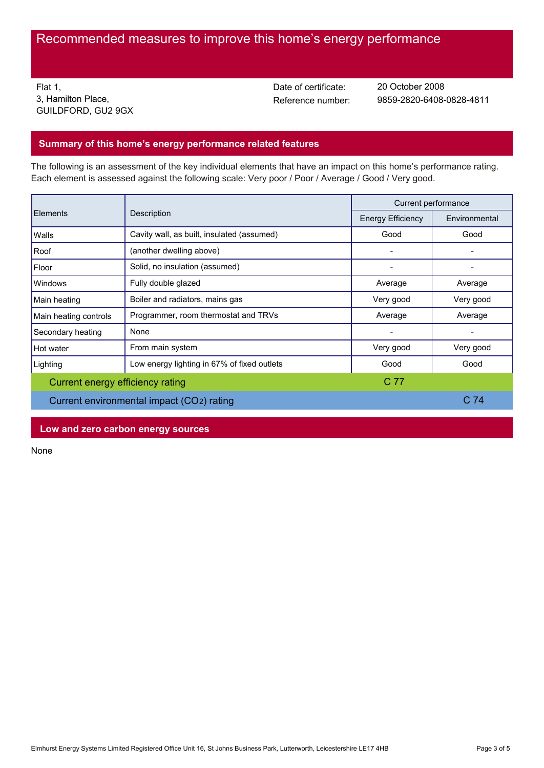# Recommended measures to improve this home's energy performance

Flat 1, 3, Hamilton Place, GUILDFORD, GU2 9GX Date of certificate:

Reference number: 9859-2820-6408-0828-4811 20 October 2008

## **Summary of this home's energy performance related features**

The following is an assessment of the key individual elements that have an impact on this home's performance rating. Each element is assessed against the following scale: Very poor / Poor / Average / Good / Very good.

| Elements<br>Description                   |                                             | Current performance |           |
|-------------------------------------------|---------------------------------------------|---------------------|-----------|
|                                           | <b>Energy Efficiency</b>                    | Environmental       |           |
| Walls                                     | Cavity wall, as built, insulated (assumed)  | Good                | Good      |
| Roof                                      | (another dwelling above)                    |                     |           |
| Floor                                     | Solid, no insulation (assumed)              |                     |           |
| Windows                                   | Fully double glazed                         | Average             | Average   |
| Main heating                              | Boiler and radiators, mains gas             | Very good           | Very good |
| Main heating controls                     | Programmer, room thermostat and TRVs        | Average             | Average   |
| Secondary heating                         | None                                        |                     |           |
| Hot water                                 | From main system                            | Very good           | Very good |
| Lighting                                  | Low energy lighting in 67% of fixed outlets | Good                | Good      |
| Current energy efficiency rating          |                                             | C 77                |           |
| Current environmental impact (CO2) rating |                                             | C <sub>74</sub>     |           |

**Low and zero carbon energy sources**

None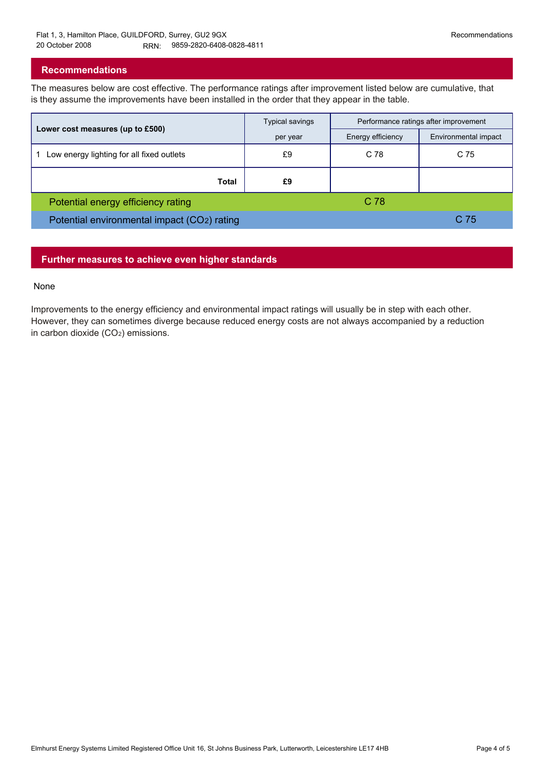## **Recommendations**

The measures below are cost effective. The performance ratings after improvement listed below are cumulative, that is they assume the improvements have been installed in the order that they appear in the table.

|                                             | <b>Typical savings</b> | Performance ratings after improvement |                      |
|---------------------------------------------|------------------------|---------------------------------------|----------------------|
| Lower cost measures (up to £500)            | per year               | Energy efficiency                     | Environmental impact |
| Low energy lighting for all fixed outlets   | £9                     | C 78                                  | C 75                 |
| Total                                       | £9                     |                                       |                      |
| Potential energy efficiency rating          |                        | $C$ 78.                               |                      |
| Potential environmental impact (CO2) rating |                        |                                       | C 75                 |

## **Further measures to achieve even higher standards**

#### None

Improvements to the energy efficiency and environmental impact ratings will usually be in step with each other. However, they can sometimes diverge because reduced energy costs are not always accompanied by a reduction in carbon dioxide (CO2) emissions.